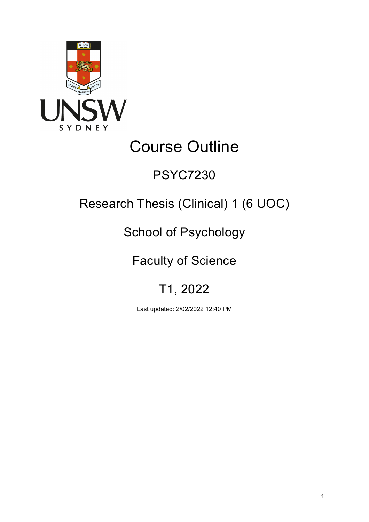

# Course Outline

## PSYC7230

## Research Thesis (Clinical) 1 (6 UOC)

## School of Psychology

## Faculty of Science

## T1, 2022

Last updated: 2/02/2022 12:40 PM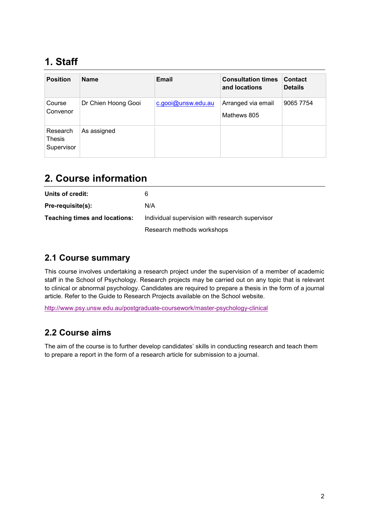## **1. Staff**

| <b>Position</b>                         | <b>Name</b>         | Email              | <b>Consultation times</b><br>and locations | <b>Contact</b><br><b>Details</b> |
|-----------------------------------------|---------------------|--------------------|--------------------------------------------|----------------------------------|
| Course<br>Convenor                      | Dr Chien Hoong Gooi | c.gooi@unsw.edu.au | Arranged via email<br>Mathews 805          | 9065 7754                        |
| Research<br><b>Thesis</b><br>Supervisor | As assigned         |                    |                                            |                                  |

## **2. Course information**

| Units of credit:                     | 6                                               |
|--------------------------------------|-------------------------------------------------|
| Pre-requisite(s):                    | N/A                                             |
| <b>Teaching times and locations:</b> | Individual supervision with research supervisor |
|                                      | Research methods workshops                      |

#### **2.1 Course summary**

This course involves undertaking a research project under the supervision of a member of academic staff in the School of Psychology. Research projects may be carried out on any topic that is relevant to clinical or abnormal psychology. Candidates are required to prepare a thesis in the form of a journal article. Refer to the Guide to Research Projects available on the School website.

<http://www.psy.unsw.edu.au/postgraduate-coursework/master-psychology-clinical>

#### **2.2 Course aims**

The aim of the course is to further develop candidates' skills in conducting research and teach them to prepare a report in the form of a research article for submission to a journal.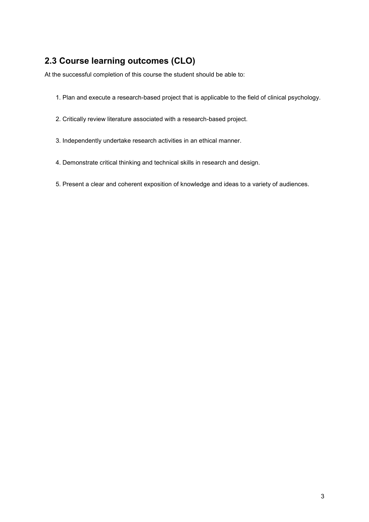#### **2.3 Course learning outcomes (CLO)**

At the successful completion of this course the student should be able to:

- 1. Plan and execute a research-based project that is applicable to the field of clinical psychology.
- 2. Critically review literature associated with a research-based project.
- 3. Independently undertake research activities in an ethical manner.
- 4. Demonstrate critical thinking and technical skills in research and design.
- 5. Present a clear and coherent exposition of knowledge and ideas to a variety of audiences.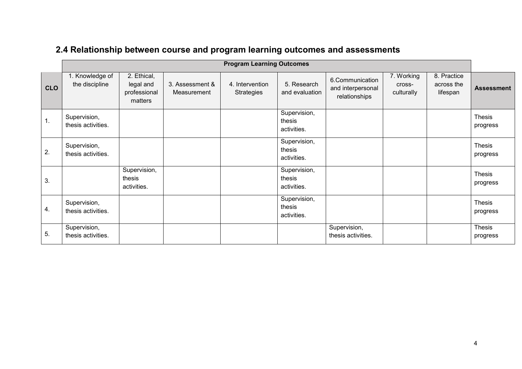## **2.4 Relationship between course and program learning outcomes and assessments**

|               | <b>Program Learning Outcomes</b>   |                                                     |                                |                                      |                                       |                                                       |                                    |                                       |                           |
|---------------|------------------------------------|-----------------------------------------------------|--------------------------------|--------------------------------------|---------------------------------------|-------------------------------------------------------|------------------------------------|---------------------------------------|---------------------------|
| <b>CLO</b>    | 1. Knowledge of<br>the discipline  | 2. Ethical,<br>legal and<br>professional<br>matters | 3. Assessment &<br>Measurement | 4. Intervention<br><b>Strategies</b> | 5. Research<br>and evaluation         | 6.Communication<br>and interpersonal<br>relationships | 7. Working<br>cross-<br>culturally | 8. Practice<br>across the<br>lifespan | <b>Assessment</b>         |
| $\mathbf 1$ . | Supervision,<br>thesis activities. |                                                     |                                |                                      | Supervision,<br>thesis<br>activities. |                                                       |                                    |                                       | <b>Thesis</b><br>progress |
| 2.            | Supervision,<br>thesis activities. |                                                     |                                |                                      | Supervision,<br>thesis<br>activities. |                                                       |                                    |                                       | <b>Thesis</b><br>progress |
| 3.            |                                    | Supervision,<br>thesis<br>activities.               |                                |                                      | Supervision,<br>thesis<br>activities. |                                                       |                                    |                                       | <b>Thesis</b><br>progress |
| 4.            | Supervision,<br>thesis activities. |                                                     |                                |                                      | Supervision,<br>thesis<br>activities. |                                                       |                                    |                                       | <b>Thesis</b><br>progress |
| 5.            | Supervision,<br>thesis activities. |                                                     |                                |                                      |                                       | Supervision,<br>thesis activities.                    |                                    |                                       | <b>Thesis</b><br>progress |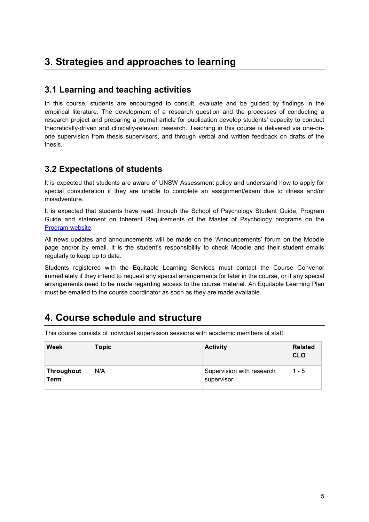### **3. Strategies and approaches to learning**

#### **3.1 Learning and teaching activities**

In this course, students are encouraged to consult, evaluate and be guided by findings in the empirical literature. The development of a research question and the processes of conducting a research project and preparing a journal article for publication develop students' capacity to conduct theoretically-driven and clinically-relevant research. Teaching in this course is delivered via one-onone supervision from thesis supervisors, and through verbal and written feedback on drafts of the thesis.

#### **3.2 Expectations of students**

It is expected that students are aware of UNSW Assessment policy and understand how to apply for special consideration if they are unable to complete an assignment/exam due to illness and/or misadventure.

It is expected that students have read through the School of Psychology Student Guide, Program Guide and statement on Inherent Requirements of the Master of Psychology programs on the [Program website.](https://www.psy.unsw.edu.au/postgraduate-coursework/master-psychology-clinical)

All news updates and announcements will be made on the 'Announcements' forum on the Moodle page and/or by email. It is the student's responsibility to check Moodle and their student emails regularly to keep up to date.

Students registered with the Equitable Learning Services must contact the Course Convenor immediately if they intend to request any special arrangements for later in the course, or if any special arrangements need to be made regarding access to the course material. An Equitable Learning Plan must be emailed to the course coordinator as soon as they are made available.

### **4. Course schedule and structure**

This course consists of individual supervision sessions with academic members of staff.

| <b>Week</b>        | Topic | <b>Activity</b>                         | <b>Related</b><br><b>CLO</b> |
|--------------------|-------|-----------------------------------------|------------------------------|
| Throughout<br>Term | N/A   | Supervision with research<br>supervisor | $1 - 5$                      |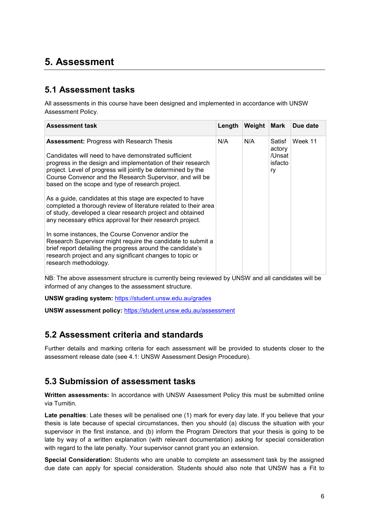### **5. Assessment**

#### **5.1 Assessment tasks**

All assessments in this course have been designed and implemented in accordance with UNSW Assessment Policy.

| <b>Assessment task</b>                                                                                                                                                                                                                                                                                                                                                                                                                                                                                                                                                                                            | Length | Weight | Mark                                        | Due date |
|-------------------------------------------------------------------------------------------------------------------------------------------------------------------------------------------------------------------------------------------------------------------------------------------------------------------------------------------------------------------------------------------------------------------------------------------------------------------------------------------------------------------------------------------------------------------------------------------------------------------|--------|--------|---------------------------------------------|----------|
| <b>Assessment: Progress with Research Thesis</b><br>Candidates will need to have demonstrated sufficient<br>progress in the design and implementation of their research<br>project. Level of progress will jointly be determined by the<br>Course Convenor and the Research Supervisor, and will be<br>based on the scope and type of research project.<br>As a guide, candidates at this stage are expected to have<br>completed a thorough review of literature related to their area<br>of study, developed a clear research project and obtained<br>any necessary ethics approval for their research project. | N/A    | N/A    | Satisf<br>actory<br>/Unsat<br>isfacto<br>ry | Week 11  |
| In some instances, the Course Convenor and/or the<br>Research Supervisor might require the candidate to submit a<br>brief report detailing the progress around the candidate's<br>research project and any significant changes to topic or<br>research methodology.                                                                                                                                                                                                                                                                                                                                               |        |        |                                             |          |

NB: The above assessment structure is currently being reviewed by UNSW and all candidates will be informed of any changes to the assessment structure.

**UNSW grading system:** <https://student.unsw.edu.au/grades>

**UNSW assessment policy:** <https://student.unsw.edu.au/assessment>

#### **5.2 Assessment criteria and standards**

Further details and marking criteria for each assessment will be provided to students closer to the assessment release date (see 4.1: UNSW Assessment Design Procedure).

#### **5.3 Submission of assessment tasks**

**Written assessments:** In accordance with UNSW Assessment Policy this must be submitted online via Turnitin.

**Late penalties**: Late theses will be penalised one (1) mark for every day late. If you believe that your thesis is late because of special circumstances, then you should (a) discuss the situation with your supervisor in the first instance, and (b) inform the Program Directors that your thesis is going to be late by way of a written explanation (with relevant documentation) asking for special consideration with regard to the late penalty. Your supervisor cannot grant you an extension.

**Special Consideration:** Students who are unable to complete an assessment task by the assigned due date can apply for special consideration. Students should also note that UNSW has a Fit to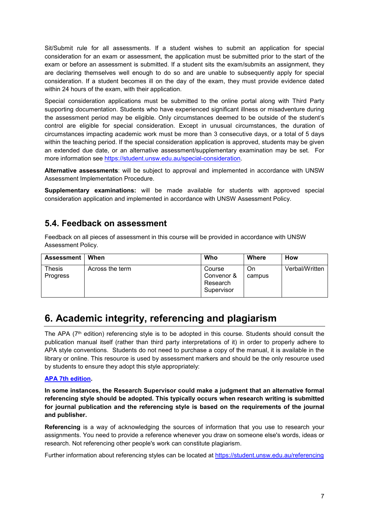Sit/Submit rule for all assessments. If a student wishes to submit an application for special consideration for an exam or assessment, the application must be submitted prior to the start of the exam or before an assessment is submitted. If a student sits the exam/submits an assignment, they are declaring themselves well enough to do so and are unable to subsequently apply for special consideration. If a student becomes ill on the day of the exam, they must provide evidence dated within 24 hours of the exam, with their application.

Special consideration applications must be submitted to the online portal along with Third Party supporting documentation. Students who have experienced significant illness or misadventure during the assessment period may be eligible. Only circumstances deemed to be outside of the student's control are eligible for special consideration. Except in unusual circumstances, the duration of circumstances impacting academic work must be more than 3 consecutive days, or a total of 5 days within the teaching period. If the special consideration application is approved, students may be given an extended due date, or an alternative assessment/supplementary examination may be set. For more information see [https://student.unsw.edu.au/special-consideration.](https://student.unsw.edu.au/special-consideration)

**Alternative assessments**: will be subject to approval and implemented in accordance with UNSW Assessment Implementation Procedure.

**Supplementary examinations:** will be made available for students with approved special consideration application and implemented in accordance with UNSW Assessment Policy.

#### **5.4. Feedback on assessment**

Feedback on all pieces of assessment in this course will be provided in accordance with UNSW Assessment Policy.

| <b>Assessment</b>                | When            | Who                                            | Where        | <b>How</b>     |
|----------------------------------|-----------------|------------------------------------------------|--------------|----------------|
| <b>Thesis</b><br><b>Progress</b> | Across the term | Course<br>Convenor &<br>Research<br>Supervisor | On<br>campus | Verbal/Written |

## **6. Academic integrity, referencing and plagiarism**

The APA ( $7<sup>th</sup>$  edition) referencing style is to be adopted in this course. Students should consult the publication manual itself (rather than third party interpretations of it) in order to properly adhere to APA style conventions. Students do not need to purchase a copy of the manual, it is available in the library or online. This resource is used by assessment markers and should be the only resource used by students to ensure they adopt this style appropriately:

#### **[APA 7th edition.](http://www.apastyle.org/manual/index.aspx)**

**In some instances, the Research Supervisor could make a judgment that an alternative formal referencing style should be adopted. This typically occurs when research writing is submitted for journal publication and the referencing style is based on the requirements of the journal and publisher.**

**Referencing** is a way of acknowledging the sources of information that you use to research your assignments. You need to provide a reference whenever you draw on someone else's words, ideas or research. Not referencing other people's work can constitute plagiarism.

Further information about referencing styles can be located at <https://student.unsw.edu.au/referencing>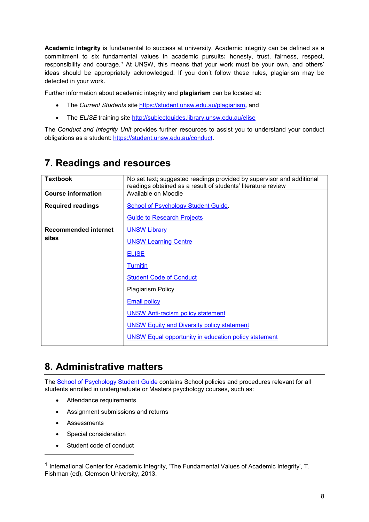**Academic integrity** is fundamental to success at university. Academic integrity can be defined as a commitment to six fundamental values in academic pursuits**:** honesty, trust, fairness, respect, responsibility and courage.*[1](#page-7-0)* At UNSW, this means that your work must be your own, and others' ideas should be appropriately acknowledged. If you don't follow these rules, plagiarism may be detected in your work.

Further information about academic integrity and **plagiarism** can be located at:

- The *Current Students* site <https://student.unsw.edu.au/plagiarism>*,* and
- The *ELISE* training site <http://subjectguides.library.unsw.edu.au/elise>

The *Conduct and Integrity Unit* provides further resources to assist you to understand your conduct obligations as a student: [https://student.unsw.edu.au/conduct.](https://student.unsw.edu.au/conduct)

| <b>Textbook</b>             | No set text; suggested readings provided by supervisor and additional<br>readings obtained as a result of students' literature review |
|-----------------------------|---------------------------------------------------------------------------------------------------------------------------------------|
| <b>Course information</b>   | Available on Moodle                                                                                                                   |
| <b>Required readings</b>    | School of Psychology Student Guide.                                                                                                   |
|                             | <b>Guide to Research Projects</b>                                                                                                     |
| <b>Recommended internet</b> | <b>UNSW Library</b>                                                                                                                   |
| sites                       | <b>UNSW Learning Centre</b>                                                                                                           |
|                             | <b>ELISE</b>                                                                                                                          |
|                             | Turnitin                                                                                                                              |
|                             | <b>Student Code of Conduct</b>                                                                                                        |
|                             | <b>Plagiarism Policy</b>                                                                                                              |
|                             | <b>Email policy</b>                                                                                                                   |
|                             | <b>UNSW Anti-racism policy statement</b>                                                                                              |
|                             | <b>UNSW Equity and Diversity policy statement</b>                                                                                     |
|                             | <b>UNSW Equal opportunity in education policy statement</b>                                                                           |

### **7. Readings and resources**

## **8. Administrative matters**

The [School of Psychology Student Guide](https://www.psy.unsw.edu.au/current-students/student-guide) contains School policies and procedures relevant for all students enrolled in undergraduate or Masters psychology courses, such as:

- Attendance requirements
- Assignment submissions and returns
- Assessments

j

- Special consideration
- Student code of conduct

<span id="page-7-0"></span><sup>1</sup> International Center for Academic Integrity, 'The Fundamental Values of Academic Integrity', T. Fishman (ed), Clemson University, 2013.